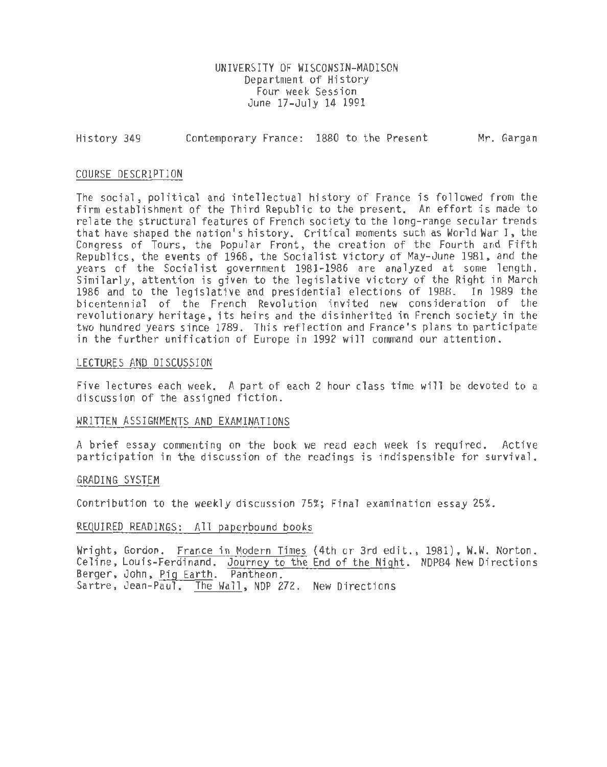UNIVERSITY OF WISCONSIN-MADISON Department of History Four week Session June 17-July 14 1991

History 349 Contemporary France: 1880 to the Present Mr. Gargan

#### COURSE DESCRIPTION

The social, political and intellectual history of France is followed from the firm establishment of the Third Republic to the present. An effort is made to relate the structural features of French society to the long-range secular trends that have shaped the nation's history. Critical moments such as World War I, the Congress of Tours, the Popular Front, the creation of the Fourth and Fifth Republics, the events of 1968, the Socialist victory of May-June 1981, and the<br>years of the Socialist government 1981-1986 are analyzed at some length. Similarly, attention is given to the legislative victory of the Right in March 1986 and to the legislative and presidential elections of 1988. In 1989 the bicentennial of the French Revolution invited new consideration of the revolutionary heritage, its heirs and the disinherited in French society in the two hundred years since 1789. This reflection and France's plans to participate<br>in the further unification of Europe in 1992 will command our attention.

#### LECTURES AND DISCUSSION

Five lectures each week. A part of each 2 hour class time will be devoted to a discussion of the assigned fiction.

#### WRITTEN ASSIGNMENTS AND EXAMINATIONS

A brief essay commenting on the book we read each h'eek is required. Active participation in the discussion of the readings is indispensible for survival.

#### GRADING SYSTEM

Contribution to the weekly discussion 75%; Final examination essay 25%.

#### REQUIRED READINGS: All paperbound books

Wright, Gordon. France in Modern Times (4th or 3rd edit., 1981}, W.W. Norton. Celine, Louis-Ferdinand. Journey to the End of the Night. NDP84 New Directions Berger, John, Pig Earth. Pantheon. Sartre, Jean-Paul. The Wall, NDP 272. New Directions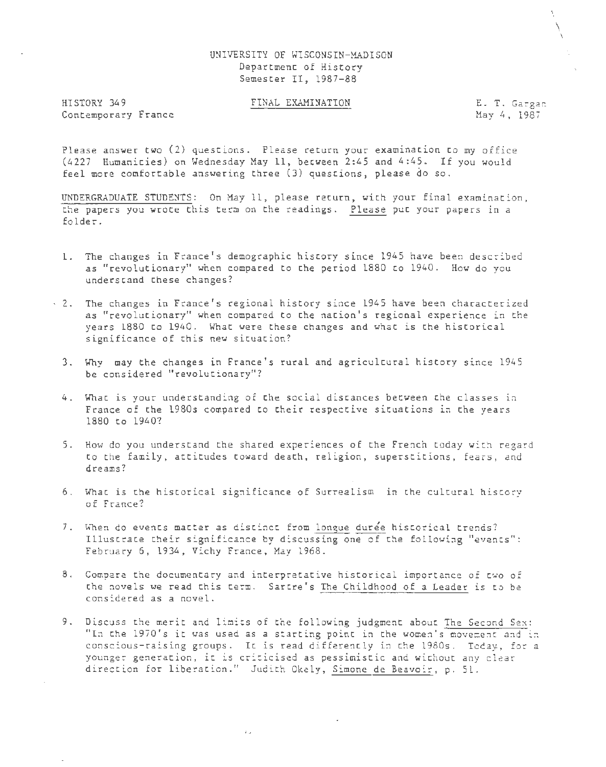### UNIVERSITY OF WISCONSIN-MADISON Department of History Semester II, 1987-88

HISTORY 349 Contemporary France

#### FINAL EXAMINATION E. T. Gargan

May 4, 1987

\  $\overline{\mathcal{N}}$  $\mathcal{L}_{\mathcal{A}}$ 

Please answer two (2) questions. Please return your examination to my office (4227 Humanities) on Wednesday May ll, between 2:45 and 4:45 . If you would feel more comfortable answering three (3) questions, please do so.

UNDERGRADUATE STUDENTS: On May ll, please return, with your final examination, the papers you wrote this term on the readings. Please put your papers in a folder.

- 1. The changes in France's demographic history since 1945 have been described as "revolutionary" when compared to the period 1880 to 1940. How do you understand these changes?
- · 2. The changes in France's regional history since 1945 have been characterized as "revolutionary" when compared to the nation's regional experience in the years 1880 to 1940. What were these changes and what is the historical significance *oj* this new situation?
	- 3. Why may the changes in France's rural and agricultural history since 1945 be considered "revolutionary"?
	- 4. What is your understanding of the social distances between the classes in France of the 1980s compared to their respective situations in the years 1880 to 1940?
	- 5. How do you understand the shared experiences of the French today with regard to the family, attitudes toward death, religion, superstitions, fears, and dreams?
	- 6. What is the historical significance of Surrealism in the cultural history of France?
	- 7. When do events matter as distinct from longue duree historical trends? Illustrate their significance by discussing one of the following "events": February 6, 1934, Vichy France, May 1968.
	- 8. Compare the documentary and interpretative historical importance of two of the novels we read this term. Sartre's The Childhood of a Leader is to be considered as a novel.
	- 9. Discuss the merit and limits of the following judgment about The Second Sex: "In the 1970's it was used as a starting point in the women's movement and in conscious-raising groups. It is read differently in the 1980s. Today, for a younger generation, it is criticised as pessimistic and without any clear direccion for liberation." Judich Okely, Simone de Beavoir, p. 51..

 $\Gamma_{\rm{tot}}$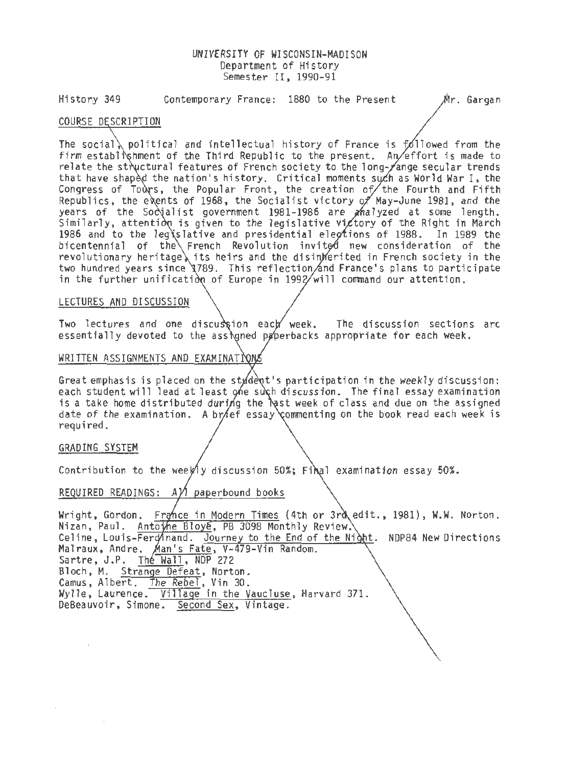### UNIVERSITY OF WISCONSIN-MADISON Department of History Semester II, 1990-91

History 349 Contemporary France: 1880 to the Present Mr. Gargan

# COURSE DESCRIPTION

The social, political and intellectual history of France is  $f_0$ llowed from the firm establishment of the Third Republic to the present. An effort is made to relate the structural features of French society to the long- $\chi$ ange secular trends that have shaped the nation's history. Critical moments such as World War I, the Congress of Tours, the Popular Front, the creation of  $\ell$  the Fourth and Fifth Republics, the events of 1968, the Socialist victory of May-June 1981, and the years of the Socialist government 1981-1986 are analyzed at some length. Similarly, attention is given to the legislative victory of the Right in March 1986 and to the leg slative and presidential elections of 1988. In 1989 the bicentennial of the French Revolution invited new consideration of the revolutionary heritage its heirs and the disin erited in French society in the two hundred years since \789. This reflection and France's plans to participate in the further unification of Europe in  $1992/wi11$  command our attention.

#### LECTURES AND DISCUSSION

Two lectures and one discussion each week. The discussion sections arc essentially devoted to the assigned paperbacks appropriate for each week.

### WRITTEN ASSIGNMENTS AND EXAMINATIONS

Great emphasis is placed on the stydent's participation in the weekly discussion: each student will lead at least one such discussion. The final essay examination is a take home distributed during the  $\lambda$ st week of class and due on the assigned date of the examination. A brief essay commenting on the book read each week is required.

### GRADING SYSTEM

Contribution to the weekly discussion 50%; Final examination essay 50%.

# REQUIRED READINGS:  $A\hat{V}$  paperbound books

Wright, Gordon, France in Modern Times (4th or 3rd edit., 1981), W.W. Norton. Nizan, Paul. Antowe Bloye, PB 3098 Monthly Review. Celine, Louis-Ferdinand. Journey to the End of the Night. NDP84 New Directions Malraux, Andre. Man's Fate, V-479-Vin Random. Sartre, J.P. The Wall, NDP 272 Bloch, M. Strange Defeat, Norton. Camus, Albert. The Rebel, Vin 30. Wylle, Laurence. Village in the Vaucluse, Harvard 371. DeBeauvoir, Simone. Second Sex, Vintage.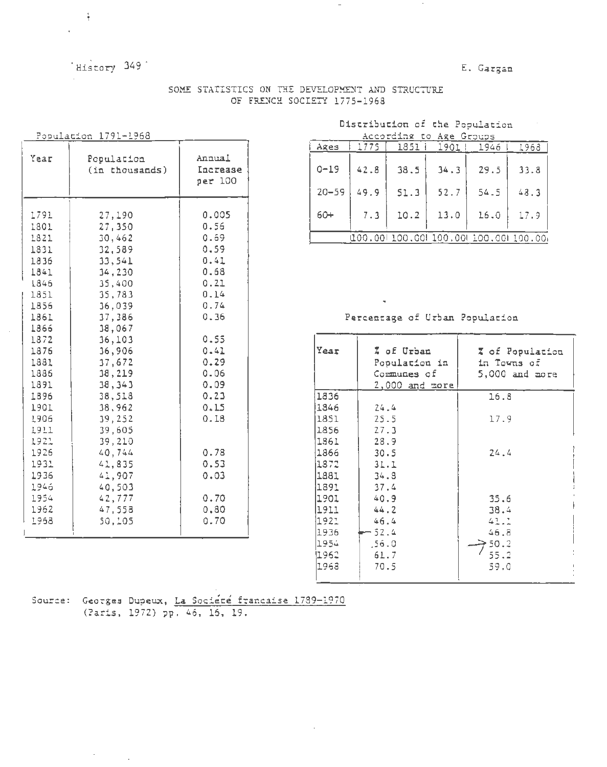# 'History 349'

E. Gargan

 $\sim$ 

SOME STATISTICS ON THE DEVELOPMENT AND STRUCTURE OF FRENCH SOCIETY 1775-1968

| Population |
|------------|
|------------|

 $\frac{1}{3}$ 

| Year                                                                                                                                                                                                                 | Population<br>(in thousands)                                                                                                                                                                                                                                               | Annual<br>Increase<br>per 100                                                                                                                                                         |
|----------------------------------------------------------------------------------------------------------------------------------------------------------------------------------------------------------------------|----------------------------------------------------------------------------------------------------------------------------------------------------------------------------------------------------------------------------------------------------------------------------|---------------------------------------------------------------------------------------------------------------------------------------------------------------------------------------|
| 1791<br>1801<br>1821<br>1831<br>1836<br>1841<br>1846<br>1851<br>1856<br>1861<br>1866<br>1872<br>1876<br>1881<br>1886<br>1891<br>1896<br>1901<br>1906<br>1911<br>1921<br>1926<br>1931<br>1936<br>1946<br>1954<br>1962 | 27,190<br>27,350<br>30,462<br>32,589<br>33,541<br>34,230<br>35,400<br>35,783<br>36,039<br>37,386<br>38,067<br>36,103<br>36,906<br>37,672<br>38,219<br>38,343<br>38,518<br>38,962<br>39,252<br>39,605<br>39,210<br>40,744<br>41,835<br>41,907<br>40,503<br>42,777<br>47,558 | 0.005<br>0.56<br>0.69<br>0.59<br>0.41<br>0.68<br>0.21<br>0.14<br>0.74<br>0.36<br>0.55<br>0.41<br>0.29<br>0.06<br>0.09<br>0.23<br>0.15<br>0.18<br>0.78<br>0.53<br>0.03<br>0.70<br>0.80 |
| 1968                                                                                                                                                                                                                 | 50,105                                                                                                                                                                                                                                                                     | 0.70                                                                                                                                                                                  |

#### Distribution of the Population  $\Delta$ contribution to  $\Delta$ ga  $\overline{C}$

| ACCOTOLEX LO AXE GIOUDS                  |      |      |      |      |      |  |  |  |  |  |
|------------------------------------------|------|------|------|------|------|--|--|--|--|--|
| Ages                                     | 1775 | 1851 | 1901 | 1946 | 1968 |  |  |  |  |  |
| $0 - 19$                                 | 42.8 | 38.5 | 34.3 | 29.5 | 33.8 |  |  |  |  |  |
| $20 - 59$                                | 49.9 | 51.3 | 52.7 | 54.5 | 48.3 |  |  |  |  |  |
| $60+$                                    | 7.3  | 10.2 | 13.0 | 16.0 | 17.9 |  |  |  |  |  |
| (100.001.100.001.100.001.100.001.100.00) |      |      |      |      |      |  |  |  |  |  |
|                                          |      |      |      |      |      |  |  |  |  |  |

## Percentage of Urban Population

| Year  | Z of Urban<br>Population in<br>Communes of<br>2,000 and more | Z of Population<br>in Towns of<br>$5,000$ and nore |
|-------|--------------------------------------------------------------|----------------------------------------------------|
| 1836  |                                                              | 16.3                                               |
| 1846  | 24.4                                                         |                                                    |
| 1851  | 25.5                                                         | 17.9                                               |
| 1856  | 27.3                                                         |                                                    |
| 1861  | 28.9                                                         |                                                    |
| 1866  | 30.5                                                         | 24.4                                               |
| i1872 | 31.1                                                         |                                                    |
| 1881  | 34.8                                                         |                                                    |
| 1891  | 37.4                                                         |                                                    |
| 1901. | 40.9                                                         | 35.6                                               |
| 11911 | 44.2                                                         | 38.4                                               |
| 1921  | 46.4                                                         | 41.1                                               |
| 1936  | 52.4                                                         | 46.8                                               |
| 1954  | .56.0                                                        | 50.2                                               |
| 1962  | 61.7                                                         | 55.2                                               |
| 1968  | 70.5                                                         | 39.0                                               |

Source: Georges Dupeux, La Société française 1789-1970 (Paris, 1972) pp. 46, 16, 19.

 $\sim 10^{-1}$ 

 $\sim$  .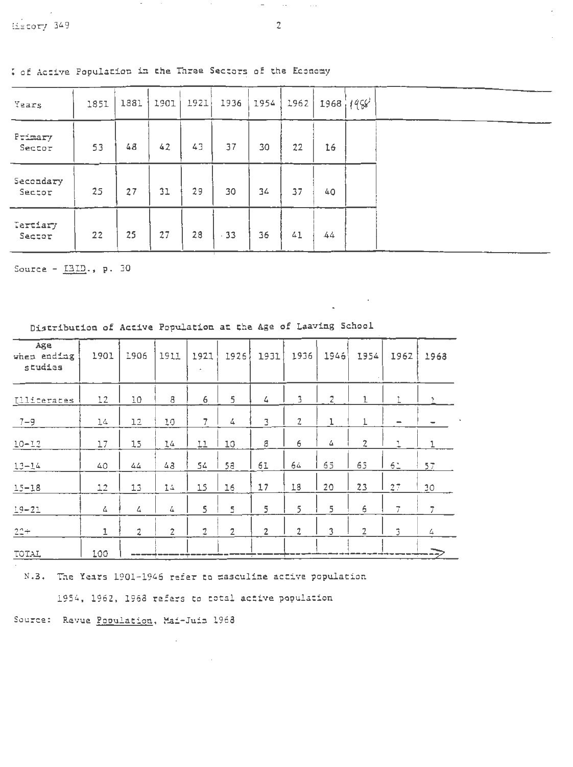Primary

 $Sector$ 

Secondary

Sector

Tertiary

Sector

| Years |  |  | 1851   1881   1901   1921   1936   1954   1962   1968   $(4\sqrt{6})$ |  |  |  |  |
|-------|--|--|-----------------------------------------------------------------------|--|--|--|--|
|       |  |  |                                                                       |  |  |  |  |

37

30

 $-33$ 

: of Active Population in the Three Sectors of the Economy

 $42^{1}$ 

 $31$ 

27

48

27

25

 $53$ 

25

 $22$ 

43

29

28

Source -  $III.$ , p. 30

| Age<br>when ending<br>studies | 1901 | 1906           | 1911           | 1921           | 1926           | 1931           | 1936           | 1946 | 1954            | 1962                     | 1968           |
|-------------------------------|------|----------------|----------------|----------------|----------------|----------------|----------------|------|-----------------|--------------------------|----------------|
| Illiterates                   | 12   | 10             | 8              | 6              | 5              | 4              | 3              | z    | 1               |                          |                |
| $7 - 9$                       | 14   | 12             | 10             | $\overline{7}$ | 4              | 3              | $\overline{z}$ | ı    | 1               | $\overline{\phantom{0}}$ |                |
| $10 - 12$                     | 17   | 15             | 14             | 11             | I0             | 8              | 6              | 스    | $\overline{2}$  | ı                        | 1              |
| $13 - 14$                     | 40   | 44             | 43             | 54             | 58             | 61             | 64             | 65   | 65              | 51                       | 57             |
| $15 - 18$                     | 12   | 13             | 14             | 15             | 16             | 17             | 18             | 20   | 23              | 27                       | 30             |
| $19 - 21$                     | 4    | 4              | 4              | 5              | 5              | 5              | 5              | 5    | $\ddot{\sigma}$ | 7                        | $\overline{7}$ |
| $22 +$                        | 1    | $\overline{2}$ | $\overline{2}$ | $\overline{2}$ | $\overline{2}$ | $\overline{2}$ | $\overline{2}$ | 3    | $\overline{2}$  | $\mathfrak{I}$           | 4              |
| TOTAL                         | 100  |                |                |                |                | $\overline{1}$ |                |      |                 |                          |                |

Distribution of Active Population at the Age of Laaving School

N.3. The Years 1901-1946 refer to masculine active population

1954, 1962, 1968 refers to total active population

 $\overline{\phantom{a}}$ 

Source: Revue Population, Mai-Juin 1968

 $\sim 100$ 

 $22$ 

37

41

16

40

 $.44$ 

 $\sim$   $\sim$ 

 $-$ 

30

34

36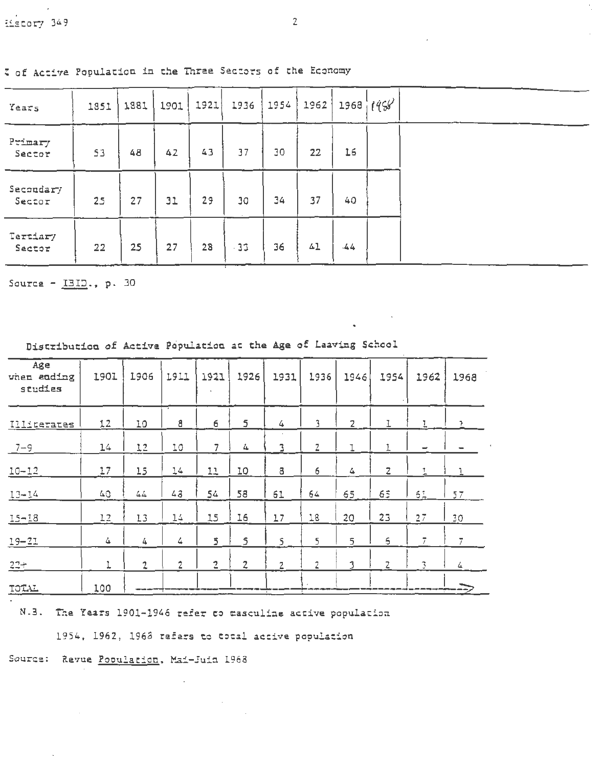I of Active Population in the Three Sectors of the Economy

| Years               | 1851 | 1881 | 1901 | 1921 | 1936  | 1954 | 1962 |       | 1968 $(95)$ |
|---------------------|------|------|------|------|-------|------|------|-------|-------------|
| Primary<br>Sector   | 53   | 48   | 42   | 43   | 37    | 30   | 22   | 16    |             |
| Secondary<br>Sector | 25   | 27   | 31   | 29   | 30    | 34   | 37   | 40    |             |
| Tertiary<br>Sector  | 22   | 25   | 27   | 28   | $-33$ | 36   | 41   | $-44$ |             |

Source -  $1312.$ , p. 30

| Age<br>when ending<br>studies | 1901 | 1906           | 1911           | 1921           | 1926           | 1931                     | 1936           | 1946           | 1954           | 1962           | 1968           |  |
|-------------------------------|------|----------------|----------------|----------------|----------------|--------------------------|----------------|----------------|----------------|----------------|----------------|--|
| Illiterates                   | 12   | 10             | 8              | 6              | $\overline{5}$ | 4                        | 3              | $\overline{2}$ |                |                | $\rightarrow$  |  |
| $7 - 9$                       | 14   | 12             | 10             | 7              | 4              | 3                        | z              |                |                |                |                |  |
| $10 - 12$                     | 17   | 15             | $14$           | 11             | 10             | 8                        | 6              | 4              | $\overline{z}$ | $\mathbf{1}$   |                |  |
| $13 - 14$                     | 40   | 44             | 43             | 54             | 58             | 61                       | $64$           | 65             | 65             | 61             | 57             |  |
| $15 - 18$                     | 12   | 13             | 14             | 15             | 16             | 17                       | 18             | 20             | 23             | 27             | 30             |  |
| $19 - 21$                     | 4    | 4              | 4              | 5              | 5              | 5                        | 5              | 5              | $\epsilon$     | $\overline{7}$ | $\overline{I}$ |  |
| $22 +$                        |      | $\overline{2}$ | $\overline{2}$ | $\overline{c}$ | $\overline{2}$ | $\overline{2}$           | $\overline{2}$ | 3              | z              | 3              | 4              |  |
| TOTAL                         | 100  |                |                |                |                | $\overline{\phantom{0}}$ |                |                |                |                |                |  |

Distribution of Active Population at the Age of Leaving School

N.3. The Years 1901-1946 refer to masculine active population

1954, 1962, 1968 rafers to total active population

Source: Revue Population, Mai-Juin 1968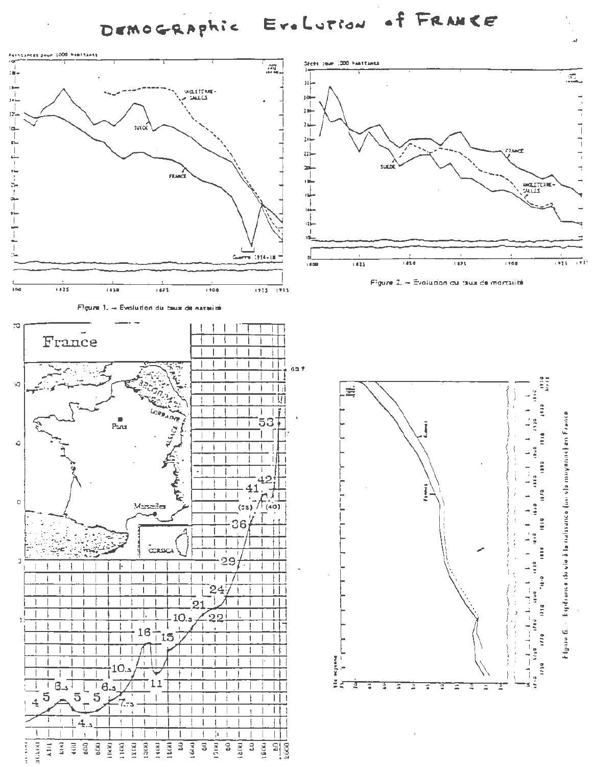DEMOGRAPhic EreLution of FRANCE

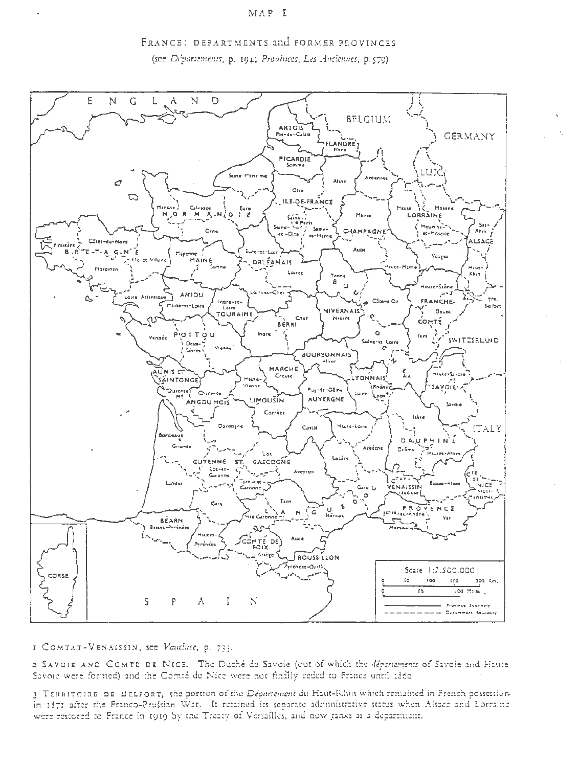#### MAP I





I COMTAT-VENAISSIN, see Vaucluse, p. 733.

2 SAVOIE AND COMTE DE NICE. The Duché de Savoie (out of which the départements of Savoie and Haute Savoie were formed) and the Comté de Nice were not finally ceded to France until 1860.

3 TERRITOIRE DE BELFORT, the portion of the Département du Haut-Rhin which remained in French possessionin 1371 after the Franco-Prussian War. It retained its separate administrative status when Alsaca and Lorraine were restored to France in 1919 by the Treaty of Versailles, and now ranks as a department.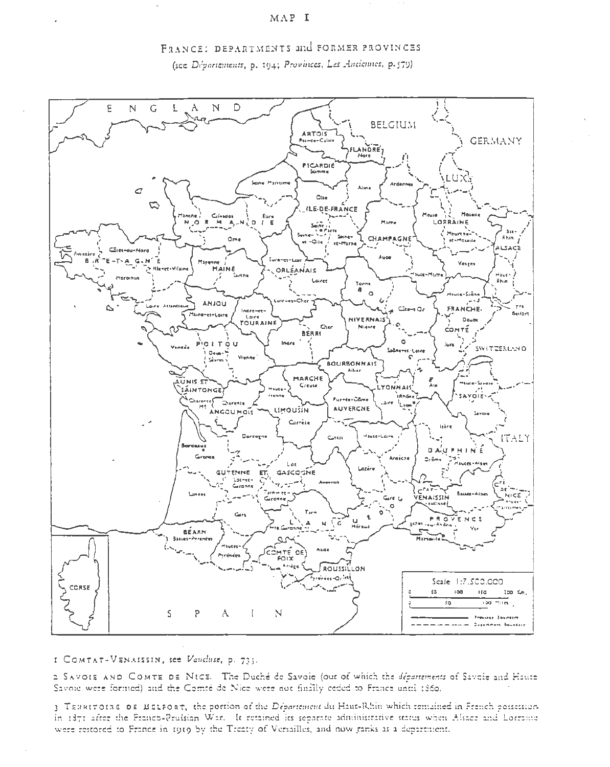#### MAP I





I COMTAT-VENAISSIN, see Vaucluse, p. 733.

2 SAVOIS AND COMTE DE NICE. The Duché de Savoie (out of which the départements of Savoie and Haute Savoie were formed) and the Comté de Nice were not finally ceded to France until 1860.

3 TERRITOIRE DE MELFORT, the portion of the Departement du Haut-Rhin which remained in French possessionin 1371 after the Franco-Prussian War. It retained its separate administrative status when Alsace and Lorraine were restored to France in 1919 by the Treaty of Versailles, and now ranks as a department.